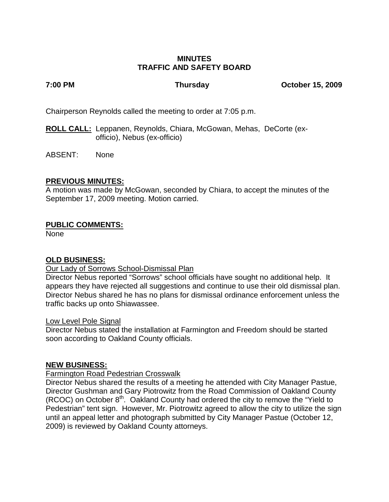# **MINUTES TRAFFIC AND SAFETY BOARD**

**7:00 PM Thursday October 15, 2009**

Chairperson Reynolds called the meeting to order at 7:05 p.m.

**ROLL CALL:** Leppanen, Reynolds, Chiara, McGowan, Mehas, DeCorte (ex officio), Nebus (ex-officio)

ABSENT: None

# **PREVIOUS MINUTES:**

A motion was made by McGowan, seconded by Chiara, to accept the minutes of the September 17, 2009 meeting. Motion carried.

# **PUBLIC COMMENTS:**

None

# **OLD BUSINESS:**

## Our Lady of Sorrows School-Dismissal Plan

Director Nebus reported "Sorrows" school officials have sought no additional help. It appears they have rejected all suggestions and continue to use their old dismissal plan. Director Nebus shared he has no plans for dismissal ordinance enforcement unless the traffic backs up onto Shiawassee.

## Low Level Pole Signal

Director Nebus stated the installation at Farmington and Freedom should be started soon according to Oakland County officials.

## **NEW BUSINESS:**

## Farmington Road Pedestrian Crosswalk

Director Nebus shared the results of a meeting he attended with City Manager Pastue, Director Gushman and Gary Piotrowitz from the Road Commission of Oakland County (RCOC) on October 8<sup>th</sup>. Oakland County had ordered the city to remove the "Yield to Pedestrian" tent sign. However, Mr. Piotrowitz agreed to allow the city to utilize the sign until an appeal letter and photograph submitted by City Manager Pastue (October 12, 2009) is reviewed by Oakland County attorneys.